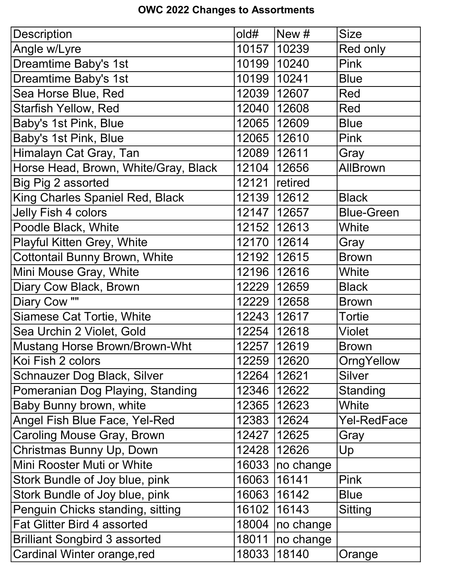## OWC 2022 Changes to Assortments

| Description                          | old#  | New #         | <b>Size</b>       |
|--------------------------------------|-------|---------------|-------------------|
| Angle w/Lyre                         |       | 10157   10239 | Red only          |
| Dreamtime Baby's 1st                 | 10199 | 10240         | <b>Pink</b>       |
| Dreamtime Baby's 1st                 | 10199 | 10241         | <b>Blue</b>       |
| Sea Horse Blue, Red                  |       | 12039   12607 | Red               |
| <b>Starfish Yellow, Red</b>          | 12040 | 12608         | <b>Red</b>        |
| Baby's 1st Pink, Blue                | 12065 | 12609         | <b>Blue</b>       |
| Baby's 1st Pink, Blue                |       | 12065   12610 | <b>Pink</b>       |
| Himalayn Cat Gray, Tan               | 12089 | 12611         | Gray              |
| Horse Head, Brown, White/Gray, Black | 12104 | 12656         | <b>AllBrown</b>   |
| Big Pig 2 assorted                   | 12121 | retired       |                   |
| King Charles Spaniel Red, Black      | 12139 | 12612         | <b>Black</b>      |
| <b>Jelly Fish 4 colors</b>           | 12147 | 12657         | <b>Blue-Green</b> |
| Poodle Black, White                  |       | 12152   12613 | White             |
| Playful Kitten Grey, White           | 12170 | 12614         | Gray              |
| <b>Cottontail Bunny Brown, White</b> | 12192 | 12615         | <b>Brown</b>      |
| Mini Mouse Gray, White               |       | 12196   12616 | White             |
| Diary Cow Black, Brown               | 12229 | 12659         | <b>Black</b>      |
| Diary Cow ""                         | 12229 | 12658         | <b>Brown</b>      |
| <b>Siamese Cat Tortie, White</b>     |       | 12243   12617 | Tortie            |
| Sea Urchin 2 Violet, Gold            | 12254 | 12618         | Violet            |
| <b>Mustang Horse Brown/Brown-Wht</b> | 12257 | 12619         | <b>Brown</b>      |
| Koi Fish 2 colors                    | 12259 | 12620         | OrngYellow        |
| Schnauzer Dog Black, Silver          | 12264 | 12621         | <b>Silver</b>     |
| Pomeranian Dog Playing, Standing     | 12346 | 12622         | Standing          |
| Baby Bunny brown, white              | 12365 | 12623         | White             |
| Angel Fish Blue Face, Yel-Red        | 12383 | 12624         | Yel-RedFace       |
| <b>Caroling Mouse Gray, Brown</b>    | 12427 | 12625         | Gray              |
| Christmas Bunny Up, Down             | 12428 | 12626         | Up                |
| Mini Rooster Muti or White           | 16033 | no change     |                   |
| Stork Bundle of Joy blue, pink       | 16063 | 16141         | <b>Pink</b>       |
| Stork Bundle of Joy blue, pink       | 16063 | 16142         | <b>Blue</b>       |
| Penguin Chicks standing, sitting     | 16102 | 16143         | <b>Sitting</b>    |
| <b>Fat Glitter Bird 4 assorted</b>   | 18004 | no change     |                   |
| <b>Brilliant Songbird 3 assorted</b> | 18011 | no change     |                   |
| Cardinal Winter orange, red          | 18033 | 18140         | Orange            |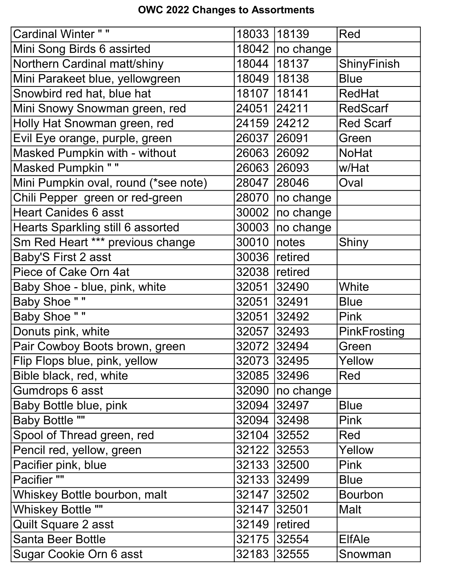## OWC 2022 Changes to Assortments

| <b>Cardinal Winter ""</b>            | 18033         | 18139             | Red              |
|--------------------------------------|---------------|-------------------|------------------|
| Mini Song Birds 6 assirted           |               | 18042   no change |                  |
| Northern Cardinal matt/shiny         | 18044         | 18137             | ShinyFinish      |
| Mini Parakeet blue, yellowgreen      | 18049         | 18138             | <b>Blue</b>      |
| Snowbird red hat, blue hat           | 18107   18141 |                   | <b>RedHat</b>    |
| Mini Snowy Snowman green, red        | 24051         | 24211             | <b>RedScarf</b>  |
| Holly Hat Snowman green, red         | 24159         | 24212             | <b>Red Scarf</b> |
| Evil Eye orange, purple, green       | 26037         | 26091             | Green            |
| <b>Masked Pumpkin with - without</b> | 26063         | 26092             | <b>NoHat</b>     |
| <b>Masked Pumpkin ""</b>             | 26063         | 26093             | w/Hat            |
| Mini Pumpkin oval, round (*see note) | 28047         | 28046             | Oval             |
| Chili Pepper green or red-green      | 28070         | no change         |                  |
| <b>Heart Canides 6 asst</b>          | 30002         | no change         |                  |
| Hearts Sparkling still 6 assorted    | 30003         | no change         |                  |
| Sm Red Heart *** previous change     | 30010         | notes             | Shiny            |
| Baby'S First 2 asst                  | 30036         | retired           |                  |
| Piece of Cake Orn 4at                | 32038         | retired           |                  |
| Baby Shoe - blue, pink, white        | 32051         | 32490             | White            |
| <b>Baby Shoe ""</b>                  | 32051         | 32491             | <b>Blue</b>      |
| <b>Baby Shoe ""</b>                  | 32051         | 32492             | Pink             |
| Donuts pink, white                   | 32057         | 32493             | PinkFrosting     |
| Pair Cowboy Boots brown, green       | 32072         | 32494             | Green            |
| Flip Flops blue, pink, yellow        |               | 32073 32495       | Yellow           |
| Bible black, red, white              |               | 32085 32496       | Red              |
| Gumdrops 6 asst                      | 32090         | no change         |                  |
| <b>Baby Bottle blue, pink</b>        | 32094         | 32497             | <b>Blue</b>      |
| <b>Baby Bottle ""</b>                | 32094         | 32498             | <b>Pink</b>      |
| Spool of Thread green, red           | 32104         | 32552             | Red              |
| Pencil red, yellow, green            | 32122         | 32553             | Yellow           |
| Pacifier pink, blue                  | 32133         | 32500             | <b>Pink</b>      |
| Pacifier ""                          | 32133         | 32499             | <b>Blue</b>      |
| Whiskey Bottle bourbon, malt         | 32147         | 32502             | <b>Bourbon</b>   |
| <b>Whiskey Bottle ""</b>             | 32147         | 32501             | <b>Malt</b>      |
| Quilt Square 2 asst                  | 32149         | retired           |                  |
| <b>Santa Beer Bottle</b>             | 32175         | 32554             | <b>ElfAle</b>    |
| Sugar Cookie Orn 6 asst              | 32183         | 32555             | Snowman          |